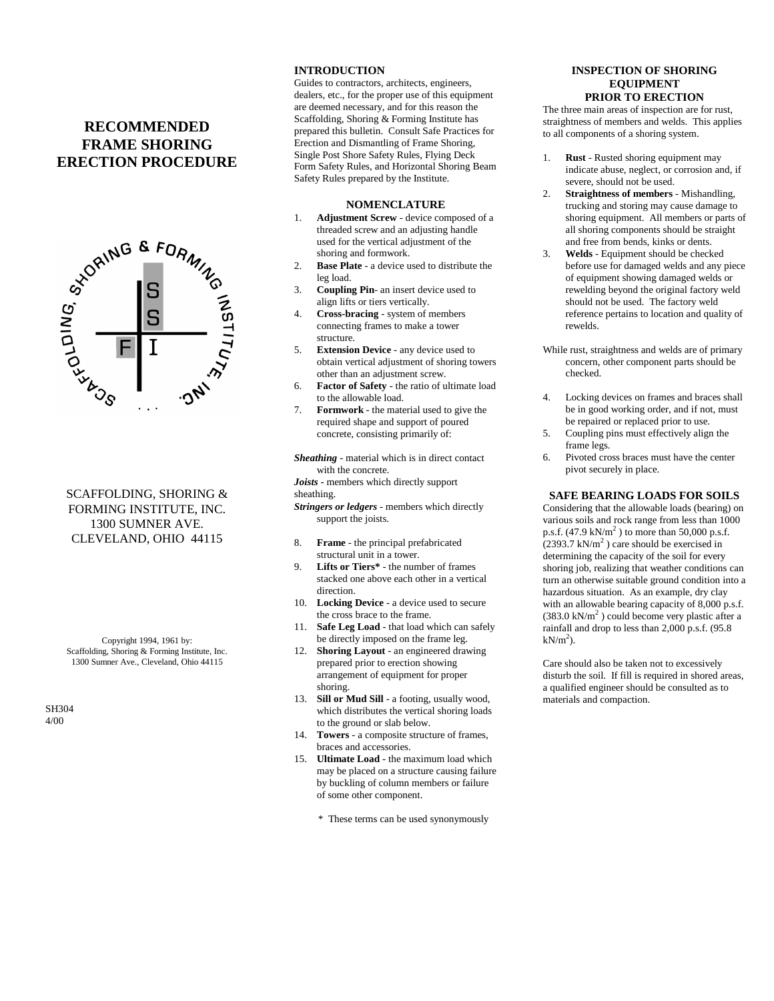# **RECOMMENDED FRAME SHORING ERECTION PROCEDURE**



# SCAFFOLDING, SHORING & FORMING INSTITUTE, INC. 1300 SUMNER AVE. CLEVELAND, OHIO 44115

Copyright 1994, 1961 by: Scaffolding, Shoring & Forming Institute, Inc. 1300 Sumner Ave., Cleveland, Ohio 44115

SH304 4/00

# **INTRODUCTION**

Guides to contractors, architects, engineers, dealers, etc., for the proper use of this equipment are deemed necessary, and for this reason the Scaffolding, Shoring & Forming Institute has prepared this bulletin. Consult Safe Practices for Erection and Dismantling of Frame Shoring, Single Post Shore Safety Rules, Flying Deck Form Safety Rules, and Horizontal Shoring Beam Safety Rules prepared by the Institute.

#### **NOMENCLATURE**

- 1. **Adjustment Screw** device composed of a threaded screw and an adjusting handle used for the vertical adjustment of the shoring and formwork.
- 2. **Base Plate** a device used to distribute the leg load.
- 3. **Coupling Pin** an insert device used to align lifts or tiers vertically.
- 4. **Cross-bracing** system of members connecting frames to make a tower structure.
- 5. **Extension Device** any device used to obtain vertical adjustment of shoring towers other than an adjustment screw.
- 6. **Factor of Safety** the ratio of ultimate load to the allowable load.
- 7. **Formwork** the material used to give the required shape and support of poured concrete, consisting primarily of:
- *Sheathing* material which is in direct contact with the concrete.
- *Joists* members which directly support sheathing.
- *Stringers or ledgers* members which directly support the joists.
- 8. **Frame** the principal prefabricated structural unit in a tower.
- 9. **Lifts or Tiers\*** the number of frames stacked one above each other in a vertical direction.
- 10. **Locking Device** a device used to secure the cross brace to the frame.
- 11. **Safe Leg Load** that load which can safely be directly imposed on the frame leg.
- 12. **Shoring Layout** an engineered drawing prepared prior to erection showing arrangement of equipment for proper shoring.
- 13. **Sill or Mud Sill** a footing, usually wood, which distributes the vertical shoring loads to the ground or slab below.
- 14. **Towers** a composite structure of frames, braces and accessories.
- 15. **Ultimate Load** the maximum load which may be placed on a structure causing failure by buckling of column members or failure of some other component.
	- \* These terms can be used synonymously

#### **INSPECTION OF SHORING EQUIPMENT PRIOR TO ERECTION**

The three main areas of inspection are for rust, straightness of members and welds. This applies to all components of a shoring system.

- 1. **Rust** Rusted shoring equipment may indicate abuse, neglect, or corrosion and, if severe, should not be used.
- 2. **Straightness of members** Mishandling, trucking and storing may cause damage to shoring equipment. All members or parts of all shoring components should be straight and free from bends, kinks or dents.
- 3. **Welds** Equipment should be checked before use for damaged welds and any piece of equipment showing damaged welds or rewelding beyond the original factory weld should not be used. The factory weld reference pertains to location and quality of rewelds.
- While rust, straightness and welds are of primary concern, other component parts should be checked.
- 4. Locking devices on frames and braces shall be in good working order, and if not, must be repaired or replaced prior to use.
- 5. Coupling pins must effectively align the frame legs.
- 6. Pivoted cross braces must have the center pivot securely in place.

#### **SAFE BEARING LOADS FOR SOILS**

Considering that the allowable loads (bearing) on various soils and rock range from less than 1000 p.s.f.  $(47.9 \text{ kN/m}^2)$  to more than 50,000 p.s.f.  $(2393.7 \text{ kN/m}^2)$  care should be exercised in determining the capacity of the soil for every shoring job, realizing that weather conditions can turn an otherwise suitable ground condition into a hazardous situation. As an example, dry clay with an allowable bearing capacity of 8,000 p.s.f.  $(383.0 \text{ kN/m}^2)$  could become very plastic after a rainfall and drop to less than 2,000 p.s.f. (95.8  $kN/m<sup>2</sup>$ ).

Care should also be taken not to excessively disturb the soil. If fill is required in shored areas, a qualified engineer should be consulted as to materials and compaction.